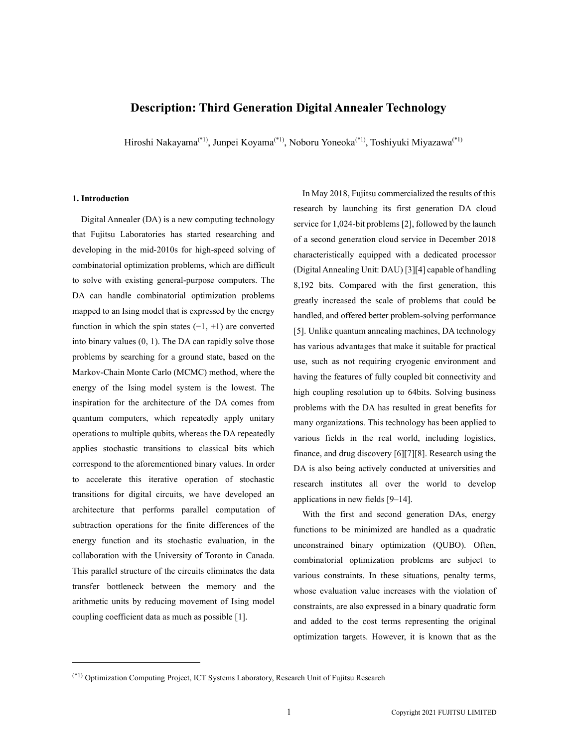# Description: Third Generation Digital Annealer Technology

Hiroshi Nakayama<sup>(\*1)</sup>, Junpei Koyama<sup>(\*1)</sup>, Noboru Yoneoka<sup>(\*1)</sup>, Toshiyuki Miyazawa<sup>(\*1)</sup>

#### 1. Introduction

Digital Annealer (DA) is a new computing technology that Fujitsu Laboratories has started researching and developing in the mid-2010s for high-speed solving of combinatorial optimization problems, which are difficult to solve with existing general-purpose computers. The DA can handle combinatorial optimization problems mapped to an Ising model that is expressed by the energy function in which the spin states  $(-1, +1)$  are converted into binary values (0, 1). The DA can rapidly solve those problems by searching for a ground state, based on the Markov-Chain Monte Carlo (MCMC) method, where the energy of the Ising model system is the lowest. The inspiration for the architecture of the DA comes from quantum computers, which repeatedly apply unitary operations to multiple qubits, whereas the DA repeatedly applies stochastic transitions to classical bits which correspond to the aforementioned binary values. In order to accelerate this iterative operation of stochastic transitions for digital circuits, we have developed an architecture that performs parallel computation of subtraction operations for the finite differences of the energy function and its stochastic evaluation, in the collaboration with the University of Toronto in Canada. This parallel structure of the circuits eliminates the data transfer bottleneck between the memory and the arithmetic units by reducing movement of Ising model coupling coefficient data as much as possible [1].

In May 2018, Fujitsu commercialized the results of this research by launching its first generation DA cloud service for 1,024-bit problems [2], followed by the launch of a second generation cloud service in December 2018 characteristically equipped with a dedicated processor (Digital Annealing Unit: DAU) [3][4] capable of handling 8,192 bits. Compared with the first generation, this greatly increased the scale of problems that could be handled, and offered better problem-solving performance [5]. Unlike quantum annealing machines, DA technology has various advantages that make it suitable for practical use, such as not requiring cryogenic environment and having the features of fully coupled bit connectivity and high coupling resolution up to 64bits. Solving business problems with the DA has resulted in great benefits for many organizations. This technology has been applied to various fields in the real world, including logistics, finance, and drug discovery [6][7][8]. Research using the DA is also being actively conducted at universities and research institutes all over the world to develop applications in new fields [9–14].

With the first and second generation DAs, energy functions to be minimized are handled as a quadratic unconstrained binary optimization (QUBO). Often, combinatorial optimization problems are subject to various constraints. In these situations, penalty terms, whose evaluation value increases with the violation of constraints, are also expressed in a binary quadratic form and added to the cost terms representing the original optimization targets. However, it is known that as the

<sup>(\*1)</sup> Optimization Computing Project, ICT Systems Laboratory, Research Unit of Fujitsu Research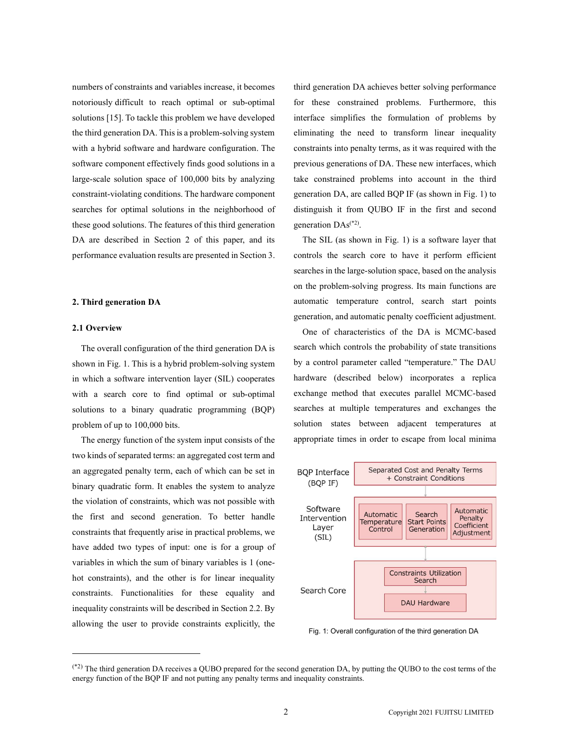numbers of constraints and variables increase, it becomes notoriously difficult to reach optimal or sub-optimal solutions [15]. To tackle this problem we have developed the third generation DA. This is a problem-solving system with a hybrid software and hardware configuration. The software component effectively finds good solutions in a large-scale solution space of 100,000 bits by analyzing constraint-violating conditions. The hardware component searches for optimal solutions in the neighborhood of these good solutions. The features of this third generation DA are described in Section 2 of this paper, and its performance evaluation results are presented in Section 3.

# 2. Third generation DA

## 2.1 Overview

The overall configuration of the third generation DA is shown in Fig. 1. This is a hybrid problem-solving system in which a software intervention layer (SIL) cooperates with a search core to find optimal or sub-optimal solutions to a binary quadratic programming (BQP) problem of up to 100,000 bits.

The energy function of the system input consists of the two kinds of separated terms: an aggregated cost term and an aggregated penalty term, each of which can be set in binary quadratic form. It enables the system to analyze (BQP IF) the violation of constraints, which was not possible with<br>Software the first and second generation. To better handle constraints that frequently arise in practical problems, we Layer have added two types of input: one is for a group of variables in which the sum of binary variables is 1 (onehot constraints), and the other is for linear inequality constraints. Functionalities for these equality and inequality constraints will be described in Section 2.2. By allowing the user to provide constraints explicitly, the

third generation DA achieves better solving performance for these constrained problems. Furthermore, this interface simplifies the formulation of problems by eliminating the need to transform linear inequality constraints into penalty terms, as it was required with the previous generations of DA. These new interfaces, which take constrained problems into account in the third generation DA, are called BQP IF (as shown in Fig. 1) to distinguish it from QUBO IF in the first and second generation  $DAs^{(*2)}$ .

. The SIL (as shown in Fig. 1) is a software layer that controls the search core to have it perform efficient searches in the large-solution space, based on the analysis on the problem-solving progress. Its main functions are automatic temperature control, search start points generation, and automatic penalty coefficient adjustment.

One of characteristics of the DA is MCMC-based search which controls the probability of state transitions by a control parameter called "temperature." The DAU hardware (described below) incorporates a replica exchange method that executes parallel MCMC-based searches at multiple temperatures and exchanges the solution states between adjacent temperatures at appropriate times in order to escape from local minima



Fig. 1: Overall configuration of the third generation DA

<sup>(\*2)</sup> The third generation DA receives a QUBO prepared for the second generation DA, by putting the QUBO to the cost terms of the energy function of the BQP IF and not putting any penalty terms and inequality constraints.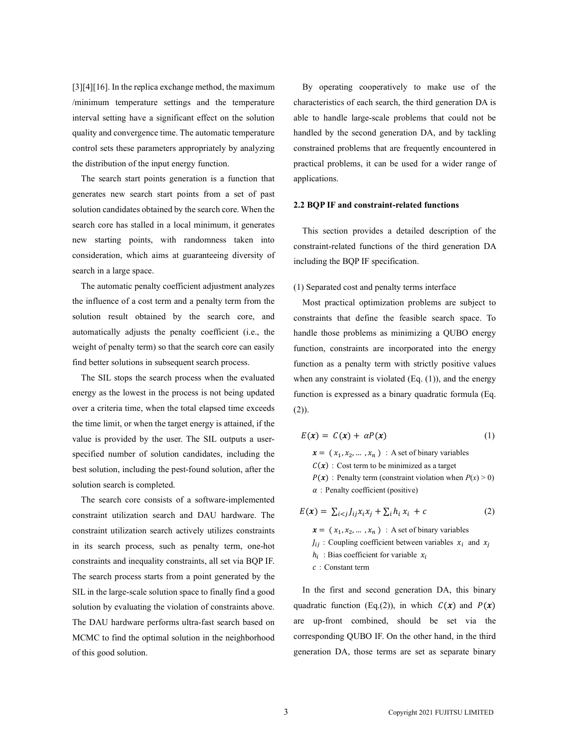[3][4][16]. In the replica exchange method, the maximum /minimum temperature settings and the temperature interval setting have a significant effect on the solution quality and convergence time. The automatic temperature control sets these parameters appropriately by analyzing the distribution of the input energy function.

The search start points generation is a function that generates new search start points from a set of past solution candidates obtained by the search core. When the search core has stalled in a local minimum, it generates new starting points, with randomness taken into consideration, which aims at guaranteeing diversity of search in a large space.

The automatic penalty coefficient adjustment analyzes the influence of a cost term and a penalty term from the solution result obtained by the search core, and automatically adjusts the penalty coefficient (i.e., the weight of penalty term) so that the search core can easily find better solutions in subsequent search process.

The SIL stops the search process when the evaluated energy as the lowest in the process is not being updated over a criteria time, when the total elapsed time exceeds the time limit, or when the target energy is attained, if the value is provided by the user. The SIL outputs a userspecified number of solution candidates, including the best solution, including the pest-found solution, after the solution search is completed.

The search core consists of a software-implemented constraint utilization search and DAU hardware. The constraint utilization search actively utilizes constraints in its search process, such as penalty term, one-hot constraints and inequality constraints, all set via BQP IF. The search process starts from a point generated by the SIL in the large-scale solution space to finally find a good solution by evaluating the violation of constraints above. The DAU hardware performs ultra-fast search based on MCMC to find the optimal solution in the neighborhood of this good solution.

By operating cooperatively to make use of the characteristics of each search, the third generation DA is able to handle large-scale problems that could not be handled by the second generation DA, and by tackling constrained problems that are frequently encountered in practical problems, it can be used for a wider range of applications.

## 2.2 BQP IF and constraint-related functions

This section provides a detailed description of the constraint-related functions of the third generation DA including the BQP IF specification.

### (1) Separated cost and penalty terms interface

Most practical optimization problems are subject to constraints that define the feasible search space. To handle those problems as minimizing a QUBO energy function, constraints are incorporated into the energy function as a penalty term with strictly positive values when any constraint is violated  $(Eq. (1))$ , and the energy function is expressed as a binary quadratic formula (Eq. (2)).

$$
E(x) = C(x) + \alpha P(x) \tag{1}
$$

 $x = (x_1, x_2, ..., x_n)$ : A set of binary variables  $C(x)$ : Cost term to be minimized as a target  $P(x)$ : Penalty term (constraint violation when  $P(x) > 0$ )  $\alpha$ : Penalty coefficient (positive)

$$
E(\mathbf{x}) = \sum_{i < j} J_{ij} x_i x_j + \sum_i h_i x_i + c \tag{2}
$$

 $x = (x_1, x_2, ..., x_n)$ : A set of binary variables  $J_{ij}$ : Coupling coefficient between variables  $x_i$  and  $x_j$  $h_i$ : Bias coefficient for variable  $x_i$ :Constant term

In the first and second generation DA, this binary quadratic function (Eq.(2)), in which  $C(x)$  and  $P(x)$ are up-front combined, should be set via the corresponding QUBO IF. On the other hand, in the third generation DA, those terms are set as separate binary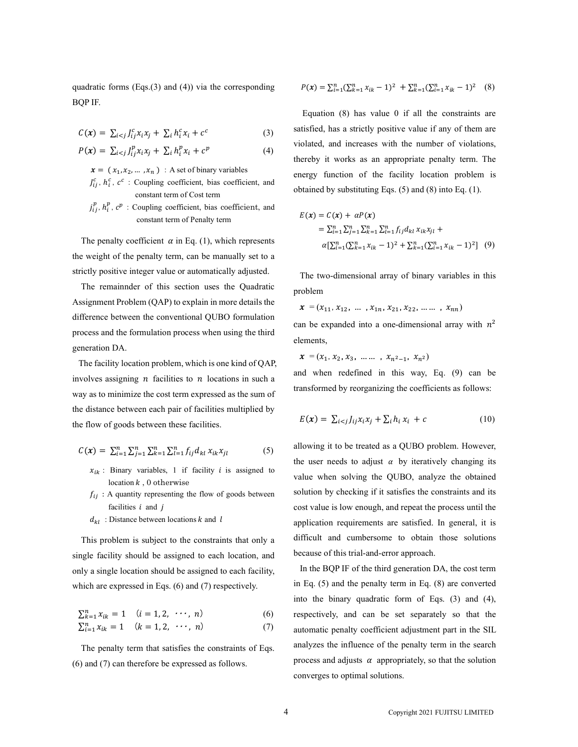quadratic forms (Eqs.(3) and (4)) via the corresponding BQP IF.

$$
C(\mathbf{x}) = \sum_{i < j} J_{ij}^c x_i x_j + \sum_i h_i^c x_i + c^c \tag{3}
$$

$$
P(\mathbf{x}) = \sum_{i < j} J_{ij}^p x_i x_j + \sum_i h_i^p x_i + c^p \tag{4}
$$

 $x = (x_1, x_2, ..., x_n)$ : A set of binary variables  $J_{ij}^c$ ,  $h_i^c$ ,  $c^c$ : Coupling coefficient, bias coefficient, and constant term of Cost term

 $j_{ij}^p$ ,  $h_i^p$ ,  $c^p$ : Coupling coefficient, bias coefficient, and constant term of Penalty term

The penalty coefficient  $\alpha$  in Eq. (1), which represents the weight of the penalty term, can be manually set to a strictly positive integer value or automatically adjusted.

The remainnder of this section uses the Quadratic Assignment Problem (QAP) to explain in more details the difference between the conventional QUBO formulation process and the formulation process when using the third generation DA.

The facility location problem, which is one kind of QAP, involves assigning  $n$  facilities to  $n$  locations in such a way as to minimize the cost term expressed as the sum of the distance between each pair of facilities multiplied by the flow of goods between these facilities.

$$
C(\mathbf{x}) = \sum_{i=1}^{n} \sum_{j=1}^{n} \sum_{k=1}^{n} \sum_{l=1}^{n} f_{ij} d_{kl} x_{ik} x_{jl}
$$
(5)

- $x_{ik}$ : Binary variables, 1 if facility *i* is assigned to location  $k$ , 0 otherwise
- $f_{ij}$ : A quantity representing the flow of goods between facilities  $i$  and  $j$
- $d_{kl}$ : Distance between locations k and l

This problem is subject to the constraints that only a single facility should be assigned to each location, and only a single location should be assigned to each facility, which are expressed in Eqs. (6) and (7) respectively.

$$
\sum_{k=1}^{n} x_{ik} = 1 \quad (i = 1, 2, \cdots, n)
$$
\n
$$
\sum_{i=1}^{n} x_{ik} = 1 \quad (k = 1, 2, \cdots, n)
$$
\n(6)\n(7)

The penalty term that satisfies the constraints of Eqs. (6) and (7) can therefore be expressed as follows.

$$
P(\mathbf{x}) = \sum_{i=1}^{n} (\sum_{k=1}^{n} x_{ik} - 1)^2 + \sum_{k=1}^{n} (\sum_{i=1}^{n} x_{ik} - 1)^2
$$
 (8)

Equation  $(8)$  has value  $0$  if all the constraints are satisfied, has a strictly positive value if any of them are violated, and increases with the number of violations, thereby it works as an appropriate penalty term. The energy function of the facility location problem is obtained by substituting Eqs. (5) and (8) into Eq. (1).

$$
E(\mathbf{x}) = C(\mathbf{x}) + \alpha P(\mathbf{x})
$$
  
=  $\sum_{i=1}^{n} \sum_{j=1}^{n} \sum_{k=1}^{n} \sum_{l=1}^{n} f_{ij} d_{kl} x_{ik} x_{jl} +$   

$$
\alpha [\sum_{i=1}^{n} (\sum_{k=1}^{n} x_{ik} - 1)^{2} + \sum_{k=1}^{n} (\sum_{i=1}^{n} x_{ik} - 1)^{2}] (9)
$$

The two-dimensional array of binary variables in this problem

 $\mathbf{x} = (x_{11}, x_{12}, \dots, x_{1n}, x_{21}, x_{22}, \dots, x_{nn})$ 

can be expanded into a one-dimensional array with  $n^2$ elements,

 $x = (x_1, x_2, x_3, \dots \dots, x_{n^2-1}, x_{n^2})$ 

and when redefined in this way, Eq. (9) can be transformed by reorganizing the coefficients as follows:

$$
E(\mathbf{x}) = \sum_{i < j} J_{ij} x_i x_j + \sum_i h_i x_i + c \tag{10}
$$

allowing it to be treated as a QUBO problem. However, the user needs to adjust  $\alpha$  by iteratively changing its value when solving the QUBO, analyze the obtained solution by checking if it satisfies the constraints and its cost value is low enough, and repeat the process until the application requirements are satisfied. In general, it is difficult and cumbersome to obtain those solutions because of this trial-and-error approach.

In the BQP IF of the third generation DA, the cost term in Eq. (5) and the penalty term in Eq. (8) are converted into the binary quadratic form of Eqs. (3) and (4), respectively, and can be set separately so that the automatic penalty coefficient adjustment part in the SIL analyzes the influence of the penalty term in the search process and adjusts  $\alpha$  appropriately, so that the solution converges to optimal solutions.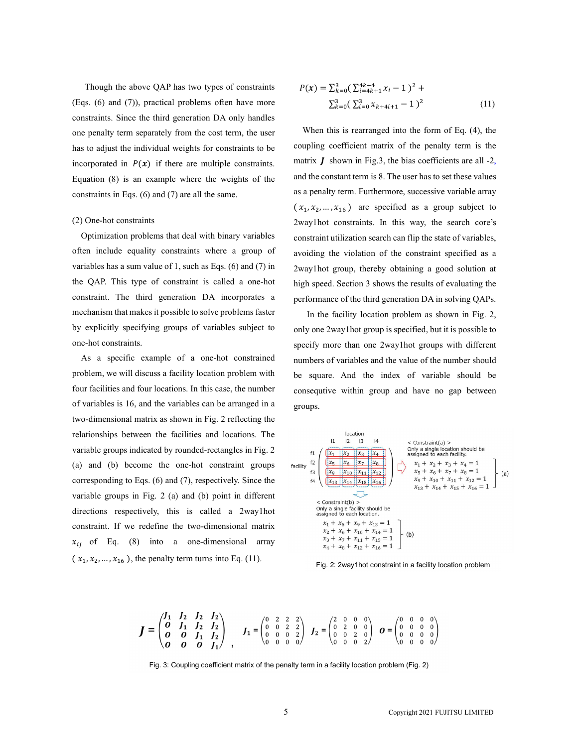Though the above QAP has two types of constraints (Eqs. (6) and (7)), practical problems often have more constraints. Since the third generation DA only handles one penalty term separately from the cost term, the user has to adjust the individual weights for constraints to be incorporated in  $P(x)$  if there are multiple constraints. Equation (8) is an example where the weights of the constraints in Eqs. (6) and (7) are all the same.

#### (2) One-hot constraints

Optimization problems that deal with binary variables often include equality constraints where a group of variables has a sum value of 1, such as Eqs. (6) and (7) in the QAP. This type of constraint is called a one-hot constraint. The third generation DA incorporates a mechanism that makes it possible to solve problems faster by explicitly specifying groups of variables subject to one-hot constraints.

As a specific example of a one-hot constrained problem, we will discuss a facility location problem with four facilities and four locations. In this case, the number of variables is 16, and the variables can be arranged in a two-dimensional matrix as shown in Fig. 2 reflecting the relationships between the facilities and locations. The  $\frac{\text{local}(\text{or})}{\text{total}}$ variable groups indicated by rounded-rectangles in Fig. 2  $\frac{f_1}{f_2} \frac{f_{x_1}}{x_2} \frac{x_3}{x_4}$ (a) and (b) become the one-hot constraint groups  $\frac{f_2}{f_3} \begin{bmatrix} \frac{x_5}{x_6} & \frac{x_6}{x_7} & \frac{x_8}{x_8} \\ \frac{x_9}{x_{10}} & \frac{x_{11}}{x_{11}} & \frac{x_{12}}{x_{12}} \end{bmatrix}$ corresponding to Eqs. (6) and (7), respectively. Since the  $\frac{x_{13} | x_{14} | x_{15} | x_{16} |}{x_{15} | x_{16} | x_{17} | x_{18} | x_{19} | x_{10} | x_{10} | x_{11} | x_{12} | x_{13} | x_{14} | x_{15} | x_{16} | x_{17} | x_{18} | x_{19} | x_{10} | x_{11} | x_{12} | x_{13} | x_{14} | x_{15} | x_{$ variable groups in Fig. 2 (a) and (b) point in different <br>  $\leq$  Constraint(b) > directions respectively, this is called a 2way1hot Contraction Contractive Contractive Scribts assigned to each location. constraint. If we redefine the two-dimensional matrix  $x_1 + x_5 + x_9 + x_{13} = 1$ <br>  $x_2 + x_6 + x_{10} + x_{14} = 1$ <br>  $x_{11}$  of Eq. (8) into a one-dimensional array  $x_3 + x_7 + x_{11} + x_{15} = 1$  $x_{ij}$  of Eq. (8) into a one-dimensional array  $x_4 + x_8 + x_{12} + x_{16} = 1$  $(x_1, x_2, \ldots, x_{16})$ , the penalty term turns into Eq. (11). explicitly specifying groups of variables subject to<br>
shot constraints.<br>
Shot constraints.<br>
Shot constraints specify more than one 2way lhot group is specify more than one 2way<br>
a a specific example of a one-hot constrain licitly specifying groups of variables subject to<br>
specify more 2way lhot group is specifie<br>
constraints.<br>
specify more than one 2way lhot group is equation<br>
in the variables and the value of<br>
in this case, the numbers of

$$
P(x) = \sum_{k=0}^{3} \left( \sum_{i=4k+1}^{4k+4} x_i - 1 \right)^2 +
$$
  

$$
\sum_{k=0}^{3} \left( \sum_{i=0}^{3} x_{k+4i+1} - 1 \right)^2
$$
 (11)

 $P(x) = \sum_{k=0}^{3} (\sum_{i=4k+1}^{4k+4} x_i - 1)^2 +$ <br>  $\sum_{k=0}^{3} (\sum_{i=0}^{3} x_{k+4i+1} - 1)^2$  (11)<br>
When this is rearranged into the form of Eq. (4), the<br>
suppling coefficient matrix of the penalty term is the  $P(x) = \sum_{k=0}^{3} (\sum_{i=4k+1}^{4k+4} x_i - 1)^2 +$ <br>  $\sum_{k=0}^{3} (\sum_{i=0}^{3} x_{k+4i+1} - 1)^2$  (11)<br>
When this is rearranged into the form of Eq. (4), the<br>
oupling coefficient matrix of the penalty term is the<br>
natrix *J* shown in Fig.3, When this is rearranged into the form of Eq. (4), the coupling coefficient matrix of the penalty term is the matrix  $\boldsymbol{J}$  shown in Fig.3, the bias coefficients are all -2, and the constant term is 8. The user has to set these values as a penalty term. Furthermore, successive variable array  $(x_1, x_2, ..., x_{16})$  are specified as a group subject to  $(x) = \sum_{k=0}^{3} (\sum_{i=k+1}^{4k+4} x_i - 1)^2 +$ <br>  $\sum_{k=0}^{3} (\sum_{i=0}^{3k} x_{k+4i+1} - 1)^2$  (11)<br>
When this is rearranged into the form of Eq. (4), the<br>
pling coefficient matrix of the penalty term is the<br>
rix *J* shown in Fig.3, the bi =  $\sum_{k=0}^{3} (\sum_{i=4k+1}^{4k+1} x_i - 1)^2$  (11)<br>  $\sum_{k=0}^{3} (\sum_{i=0}^{3} x_{k+4i+1} - 1)^2$  (11)<br>
n this is rearranged into the form of Eq. (4), the<br>
g coefficient matrix of the penalty term is the<br>
J shown in Fig.3, the bias coeffi 2way1hot constraints. In this way, the search core's constraint utilization search can flip the state of variables, avoiding the violation of the constraint specified as a 2way1hot group, thereby obtaining a good solution at high speed. Section 3 shows the results of evaluating the performance of the third generation DA in solving QAPs.

 In the facility location problem as shown in Fig. 2, only one 2way1hot group is specified, but it is possible to specify more than one 2way1hot groups with different numbers of variables and the value of the number should be square. And the index of variable should be consequtive within group and have no gap between groups.



Fig. 2: 2way1hot constraint in a facility location problem

$$
J = \begin{pmatrix} J_1 & J_2 & J_2 & J_2 \\ 0 & J_1 & J_2 & J_2 \\ 0 & 0 & J_1 & J_2 \\ 0 & 0 & 0 & J_1 \end{pmatrix}, \qquad J_1 = \begin{pmatrix} 0 & 2 & 2 & 2 \\ 0 & 0 & 2 & 2 \\ 0 & 0 & 0 & 2 \\ 0 & 0 & 0 & 0 \end{pmatrix}, \qquad J_2 = \begin{pmatrix} 2 & 0 & 0 & 0 \\ 0 & 2 & 0 & 0 \\ 0 & 0 & 2 & 0 \\ 0 & 0 & 0 & 2 \end{pmatrix}, \qquad O = \begin{pmatrix} 0 & 0 & 0 & 0 \\ 0 & 0 & 0 & 0 \\ 0 & 0 & 0 & 0 \\ 0 & 0 & 0 & 0 \end{pmatrix}
$$

Fig. 3: Coupling coefficient matrix of the penalty term in a facility location problem (Fig. 2)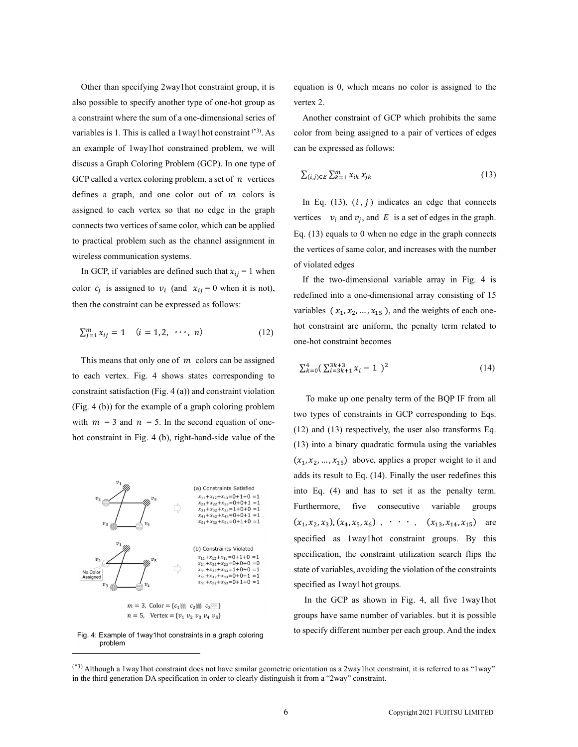Other than specifying 2way1hot constraint group, it is also possible to specify another type of one-hot group as a constraint where the sum of a one-dimensional series of variables is 1. This is called a 1way1hot constraint (\*3). As an example of 1way1hot constrained problem, we will discuss a Graph Coloring Problem (GCP). In one type of GCP called a vertex coloring problem, a set of  $n$  vertices defines a graph, and one color out of  $m$  colors is assigned to each vertex so that no edge in the graph connects two vertices of same color, which can be applied to practical problem such as the channel assignment in wireless communication systems. possible to specify another type of one-hot group as<br>
nstraint where the sum of a one-dimensional series of<br>
antexting the simulation of GCP which probibits the same<br>
ables is 1. This is called a lowe) hot constraint of O

In GCP, if variables are defined such that  $x_{ii} = 1$  when color  $c_j$  is assigned to  $v_i$  (and  $x_{ij} = 0$  when it is not), then the constraint can be expressed as follows:

$$
\sum_{j=1}^{m} x_{ij} = 1 \quad (i = 1, 2, \cdots, n)
$$
 (12)

This means that only one of  $m$  colors can be assigned to each vertex. Fig. 4 shows states corresponding to constraint satisfaction (Fig. 4 (a)) and constraint violation (Fig. 4 (b)) for the example of a graph coloring problem with  $m = 3$  and  $n = 5$ . In the second equation of onehot constraint in Fig. 4 (b), right-hand-side value of the



 $n = 5$ , Vertex = { $v_1$   $v_2$   $v_3$   $v_4$   $v_5$ }



equation is 0, which means no color is assigned to the vertex 2.

. As color from being assigned to a pair of vertices of edges Another constraint of GCP which prohibits the same can be expressed as follows:

$$
\sum_{(i,j)\in E} \sum_{k=1}^{m} x_{ik} x_{jk} \tag{13}
$$

uation is 0, which means no color is assigned to the<br>
rtex 2.<br>
Another constraint of GCP which prohibits the same<br>
lor from being assigned to a pair of vertices of edges<br>
n be expressed as follows:<br>  $\sum_{(i,j)\in E} \sum_{k=1}^{m}$ In Eq. (13),  $(i, j)$  indicates an edge that connects vertices  $v_i$  and  $v_j$ , and E is a set of edges in the graph. Eq. (13) equals to 0 when no edge in the graph connects the vertices of same color, and increases with the number of violated edges which means no color is assigned to the<br>nstraint of GCP which prohibits the same<br>ing assigned to a pair of vertices of edges<br>sed as follows:<br> $x^{i}k^{i}x_{jk}$  (13)<br>0, (*i*, *j*) indicates an edge that connects<br> $d v_j$ , and *E* ich means no color is assigned to the<br>
aint of GCP which prohibits the same<br>
assigned to a pair of vertices of edges<br>
as follows:<br>  $k x_{jk}$  (13)<br>  $i, j$  ) indicates an edge that connects<br>  $y_j$ , and E is a set of edges in th signed to a pair of vertices of edges<br>
on be expressed as follows:<br>  $\sum_{(i,j)\in E} \sum_{k=1}^{m} x_{ik} x_{jk}$  (13)<br>
In Eq. (13), (*i*, *j*) indicates an edge that connects<br>
ertices  $v_i$  and  $v_j$ , and *E* is a set of edges in the g

If the two-dimensional variable array in Fig. 4 is redefined into a one-dimensional array consisting of 15 variables  $(x_1, x_2, ..., x_{15})$ , and the weights of each onehot constraint are uniform, the penalty term related to one-hot constraint becomes

$$
\sum_{k=0}^{4} \left( \sum_{i=3k+1}^{3k+3} x_i - 1 \right)^2 \tag{14}
$$

To make up one penalty term of the BQP IF from all two types of constraints in GCP corresponding to Eqs. (12) and (13) respectively, the user also transforms Eq. (13) into a binary quadratic formula using the variables  $(x_1, x_2, ..., x_{15})$  above, applies a proper weight to it and (13) equals to 0 when no edge in the graph connects<br>vertices of same color, and increases with the number<br>violated edges<br>f the two-dimensional variable array in Fig. 4 is<br>efined into a one-dimensional array consisting of 3) equals to 0 when no edge in the graph connects<br>tices of same color, and increases with the number<br>ated edges<br>ne two-dimensional variable array in Fig. 4 is<br>ed into a one-dimensional array consisting of 15<br>es  $(x_1, x_2, ...,$ adds its result to Eq. (14). Finally the user redefines this into Eq. (4) and has to set it as the penalty term. Furthermore, five consecutive variable groups  $(x_1, x_2, x_3), (x_4, x_5, x_6)$ ,  $\cdots$ ,  $(x_{13}, x_{14}, x_{15})$  are efined into a one-dimensional array consisting of 15<br>
iables  $(x_1, x_2, ..., x_{15})$ , and the weights of each one-<br>
constraint are uniform, the penalty term related to<br>
-hot constraint becomes<br>  $x_{k=0}^4(\sum_{i=3k+1}^{3k+3}x_i - 1)^2$  ed into a one-dimensional array consisting of 15<br>
es  $(x_1, x_2, ..., x_{15})$ , and the weights of each one-<br>
nstraint are uniform, the penalty term related to<br>
t constraint becomes<br>  $(\sum_{i=3k+1}^{3k+3} x_i - 1)^2$  (14)<br>
make up one pen a one-dimensional array consisting of 15<br>  $x_2, ..., x_{15}$ ), and the weights of each one-<br>
are uniform, the penalty term related to<br>
int becomes<br>  $x_1x_1 - 1$ <sup>2</sup> (14)<br>
one penalty term of the BQP IF from all<br>
one penalty term ne-dimensional array consisting of 15<br>
...,  $x_{15}$ ), and the weights of each one-<br>
uniform, the penalty term related to<br>
becomes<br>  $-1$ )<sup>2</sup> (14)<br>
e penalty term of the BQP IF from all<br>
traints in GCP corresponding to Eqs. limensional array consisting of 15<br>  $x_{15}$ ), and the weights of each one-<br>
form, the penalty term related to<br>
omes<br>
1 )<sup>2</sup> (14)<br>
1 )<sup>2</sup> (14)<br>
1 )<sup>2</sup> (14)<br>
1 )<sup>2</sup> (14)<br>
1 )<sup>2</sup> (14)<br>
1 ). The set also transforms Eq.<br>
1 dra specified as 1way1hot constraint groups. By this specification, the constraint utilization search flips the state of variables, avoiding the violation of the constraints specified as 1way1hot groups.

In the GCP as shown in Fig. 4, all five 1way1hot groups have same number of variables. but it is possible to specify different number per each group. And the index Fig. 4: Example of 1way1hot constraints in a graph coloring

<sup>(\*3)</sup> Although a 1way1hot constraint does not have similar geometric orientation as a 2way1hot constraint, it is referred to as "1way" in the third generation DA specification in order to clearly distinguish it from a "2way" constraint.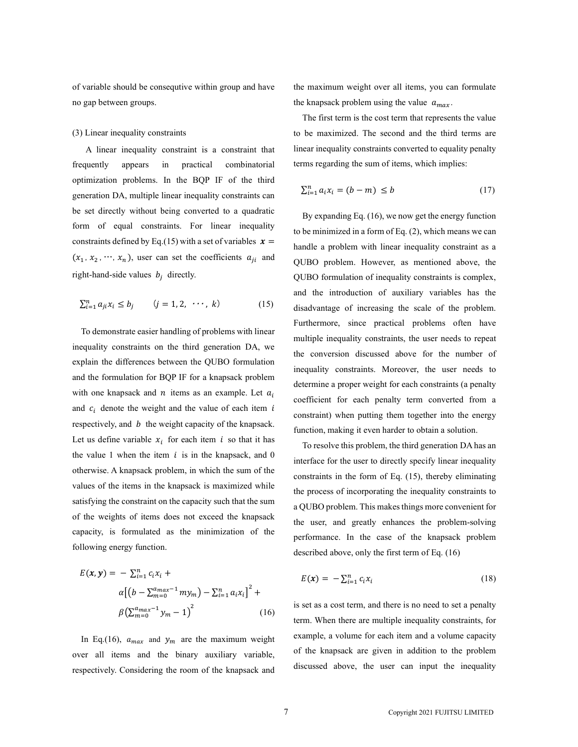of variable should be consequtive within group and have no gap between groups.

#### (3) Linear inequality constraints

A linear inequality constraint is a constraint that frequently appears in practical combinatorial optimization problems. In the BQP IF of the third generation DA, multiple linear inequality constraints can be set directly without being converted to a quadratic form of equal constraints. For linear inequality constraints defined by Eq.(15) with a set of variables  $x =$  $(x_1, x_2, \cdots, x_n)$ , user can set the coefficients  $a_{ji}$  and right-hand-side values  $b_j$  directly.

$$
\sum_{i=1}^{n} a_{ji} x_i \le b_j \qquad (j=1,2,\cdots,\;k) \tag{15}
$$

To demonstrate easier handling of problems with linear inequality constraints on the third generation DA, we explain the differences between the QUBO formulation and the formulation for BQP IF for a knapsack problem with one knapsack and  $n$  items as an example. Let  $a_i$ and  $c_i$  denote the weight and the value of each item i respectively, and  $b$  the weight capacity of the knapsack. Let us define variable  $x_i$  for each item i so that it has the value 1 when the item  $i$  is in the knapsack, and 0 otherwise. A knapsack problem, in which the sum of the values of the items in the knapsack is maximized while satisfying the constraint on the capacity such that the sum of the weights of items does not exceed the knapsack capacity, is formulated as the minimization of the following energy function.

$$
E(\mathbf{x}, \mathbf{y}) = -\sum_{i=1}^{n} c_i x_i +
$$
  
\n
$$
\alpha \left[ \left( b - \sum_{m=0}^{a_{max}-1} m y_m \right) - \sum_{i=1}^{n} a_i x_i \right]^2 +
$$
  
\n
$$
\beta \left( \sum_{m=0}^{a_{max}-1} y_m - 1 \right)^2 \tag{16}
$$

In Eq.(16),  $a_{max}$  and  $y_m$  are the maximum weight over all items and the binary auxiliary variable, respectively. Considering the room of the knapsack and

the maximum weight over all items, you can formulate the knapsack problem using the value  $a_{max}$ .

The first term is the cost term that represents the value to be maximized. The second and the third terms are linear inequality constraints converted to equality penalty terms regarding the sum of items, which implies:

$$
\sum_{i=1}^{n} a_i x_i = (b - m) \le b \tag{17}
$$

By expanding Eq. (16), we now get the energy function to be minimized in a form of Eq. (2), which means we can handle a problem with linear inequality constraint as a QUBO problem. However, as mentioned above, the QUBO formulation of inequality constraints is complex, and the introduction of auxiliary variables has the disadvantage of increasing the scale of the problem. Furthermore, since practical problems often have multiple inequality constraints, the user needs to repeat the conversion discussed above for the number of inequality constraints. Moreover, the user needs to determine a proper weight for each constraints (a penalty coefficient for each penalty term converted from a constraint) when putting them together into the energy function, making it even harder to obtain a solution.

To resolve this problem, the third generation DA has an interface for the user to directly specify linear inequality constraints in the form of Eq. (15), thereby eliminating the process of incorporating the inequality constraints to a QUBO problem. This makes things more convenient for the user, and greatly enhances the problem-solving performance. In the case of the knapsack problem described above, only the first term of Eq. (16)

$$
E(\mathbf{x}) = -\sum_{i=1}^{n} c_i x_i \tag{18}
$$

is set as a cost term, and there is no need to set a penalty term. When there are multiple inequality constraints, for example, a volume for each item and a volume capacity of the knapsack are given in addition to the problem discussed above, the user can input the inequality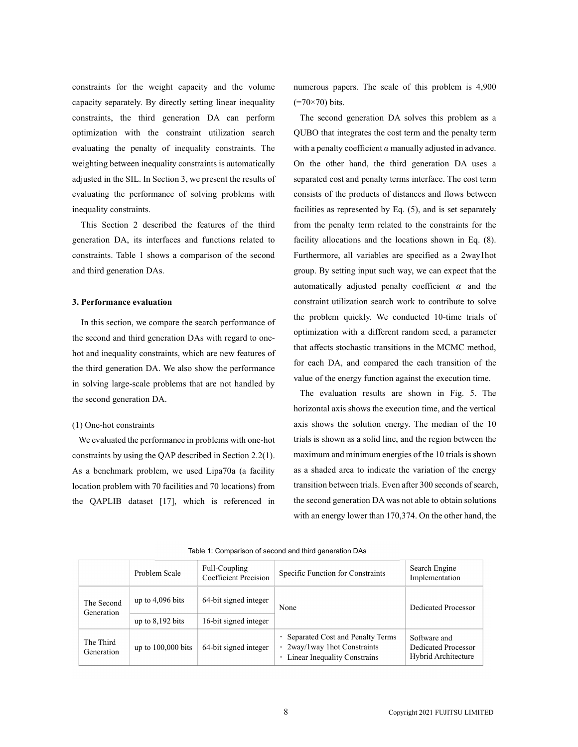constraints for the weight capacity and the volume capacity separately. By directly setting linear inequality constraints, the third generation DA can perform optimization with the constraint utilization search evaluating the penalty of inequality constraints. The weighting between inequality constraints is automatically adjusted in the SIL. In Section 3, we present the results of evaluating the performance of solving problems with inequality constraints.

This Section 2 described the features of the third generation DA, its interfaces and functions related to constraints. Table 1 shows a comparison of the second and third generation DAs.

## 3. Performance evaluation

In this section, we compare the search performance of the second and third generation DAs with regard to onehot and inequality constraints, which are new features of the third generation DA. We also show the performance in solving large-scale problems that are not handled by the second generation DA.

#### (1) One-hot constraints

We evaluated the performance in problems with one-hot constraints by using the QAP described in Section 2.2(1). As a benchmark problem, we used Lipa70a (a facility location problem with 70 facilities and 70 locations) from the QAPLIB dataset [17], which is referenced in

numerous papers. The scale of this problem is 4,900  $(=70\times70)$  bits.

The second generation DA solves this problem as a QUBO that integrates the cost term and the penalty term with a penalty coefficient  $\alpha$  manually adjusted in advance. On the other hand, the third generation DA uses a separated cost and penalty terms interface. The cost term consists of the products of distances and flows between facilities as represented by Eq. (5), and is set separately from the penalty term related to the constraints for the facility allocations and the locations shown in Eq. (8). Furthermore, all variables are specified as a 2way1hot group. By setting input such way, we can expect that the automatically adjusted penalty coefficient  $\alpha$  and the constraint utilization search work to contribute to solve the problem quickly. We conducted 10-time trials of optimization with a different random seed, a parameter that affects stochastic transitions in the MCMC method, for each DA, and compared the each transition of the value of the energy function against the execution time.

The evaluation results are shown in Fig. 5. The horizontal axis shows the execution time, and the vertical axis shows the solution energy. The median of the 10 trials is shown as a solid line, and the region between the maximum and minimum energies of the 10 trials is shown as a shaded area to indicate the variation of the energy transition between trials. Even after 300 seconds of search, the second generation DA was not able to obtain solutions with an energy lower than 170,374. On the other hand, the

|                          | Problem Scale        | Full-Coupling<br>Coefficient Precision | Specific Function for Constraints                                                                | Search Engine<br>Implementation                            |  |
|--------------------------|----------------------|----------------------------------------|--------------------------------------------------------------------------------------------------|------------------------------------------------------------|--|
| The Second<br>Generation | up to $4,096$ bits   | 64-bit signed integer                  | None                                                                                             | Dedicated Processor                                        |  |
|                          | up to $8,192$ bits   | 16-bit signed integer                  |                                                                                                  |                                                            |  |
| The Third<br>Generation  | up to $100,000$ bits | 64-bit signed integer                  | Separated Cost and Penalty Terms<br>• 2way/1way 1hot Constraints<br>Linear Inequality Constrains | Software and<br>Dedicated Processor<br>Hybrid Architecture |  |

Table 1: Comparison of second and third generation DAs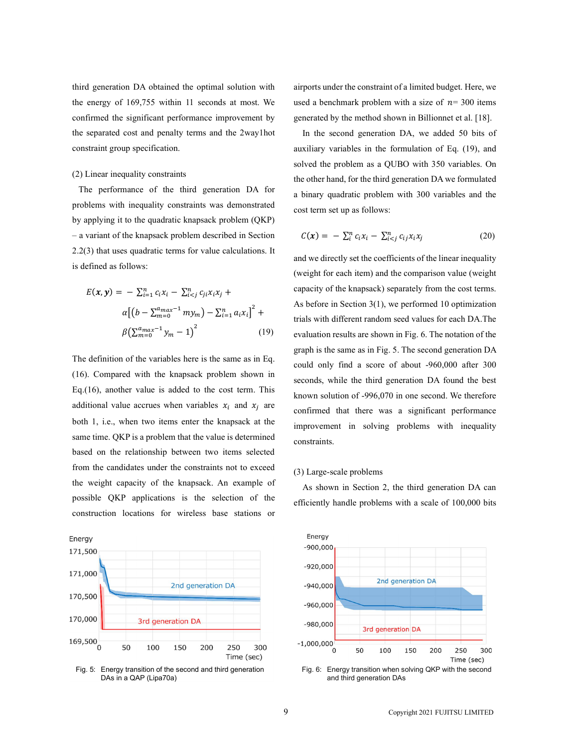third generation DA obtained the optimal solution with the energy of 169,755 within 11 seconds at most. We confirmed the significant performance improvement by the separated cost and penalty terms and the 2way1hot constraint group specification.

# (2) Linear inequality constraints

The performance of the third generation DA for problems with inequality constraints was demonstrated by applying it to the quadratic knapsack problem (QKP) – a variant of the knapsack problem described in Section 2.2(3) that uses quadratic terms for value calculations. It is defined as follows:

$$
E(\mathbf{x}, \mathbf{y}) = -\sum_{i=1}^{n} c_i x_i - \sum_{i  
\n
$$
\alpha \left[ \left( b - \sum_{m=0}^{a_{max}-1} m y_m \right) - \sum_{i=1}^{n} a_i x_i \right]^2 +
$$
  
\n
$$
\beta \left( \sum_{m=0}^{a_{max}-1} y_m - 1 \right)^2 \tag{19}
$$
$$

The definition of the variables here is the same as in Eq. (16). Compared with the knapsack problem shown in Eq.(16), another value is added to the cost term. This additional value accrues when variables  $x_i$  and  $x_i$  are both 1, i.e., when two items enter the knapsack at the same time. QKP is a problem that the value is determined based on the relationship between two items selected from the candidates under the constraints not to exceed the weight capacity of the knapsack. An example of possible QKP applications is the selection of the construction locations for wireless base stations or



Fig. 5: Energy transition of the second and third generation DAs in a QAP (Lipa70a)

airports under the constraint of a limited budget. Here, we used a benchmark problem with a size of  $n = 300$  items generated by the method shown in Billionnet et al. [18].

In the second generation DA, we added 50 bits of auxiliary variables in the formulation of Eq. (19), and solved the problem as a QUBO with 350 variables. On the other hand, for the third generation DA we formulated a binary quadratic problem with 300 variables and the cost term set up as follows: the model of a limited budget. Here, we<br>
ded a benchmark problem with a size of  $n=300$  items<br>
nerated by the method shown in Billionnet et al. [18].<br>
In the second generation DA, we added 50 bits of<br>
xiliary variables i

$$
C(\mathbf{x}) = -\sum_{i}^{n} c_i x_i - \sum_{i < j}^{n} c_{ij} x_i x_j \tag{20}
$$

dependential DA obtained the optimal solution with airports under the constraint of a limited budget. Here,<br>
energy of 169,755 within 11 seconds at most. We used a benchmark problem with a size of  $\pi$  = 300 ites<br>
firmed  $\sum_{i=1}^{n} c_i x_i - \sum_{i < j}^{n} c_{ji} x_i x_j +$  capacity of the knapsack) separately from the cost terms. on DA obtained the optimal solution with<br>
interports under the constraint of a limited budget. Here,<br>
169,755 within 11 seconds at most. We<br>
used a benchmark problem with a size of  $n = 300$  its<br>
istignificant performanc  $\left( \frac{a_{max}-1}{m=0} m y_m \right) - \sum_{i=1}^n a_i x_i \Big]^2 +$  As before in section 5(1), we performed 10 optimization  $\beta\left(\sum_{m=0}^{a_{max}-1} y_m - 1\right)^2$  (19) evaluation results are shown in Fig. 6. The notation of the 7,755 within 11 seconds at most. We used a benchmark problem with a size of *n*= 300 items<br>inficant performance improvement by generated by the method shown in Billionnet et al. [18].<br>and penalty terms and the 2way1hot and  $x_j$  are confirmed that there was a significant performance and we directly set the coefficients of the linear inequality (weight for each item) and the comparison value (weight As before in Section 3(1), we performed 10 optimization graph is the same as in Fig. 5. The second generation DA could only find a score of about -960,000 after 300 seconds, while the third generation DA found the best known solution of -996,070 in one second. We therefore improvement in solving problems with inequality constraints.

#### (3) Large-scale problems

As shown in Section 2, the third generation DA can efficiently handle problems with a scale of 100,000 bits



Fig. 6: Energy transition when solving QKP with the second and third generation DAs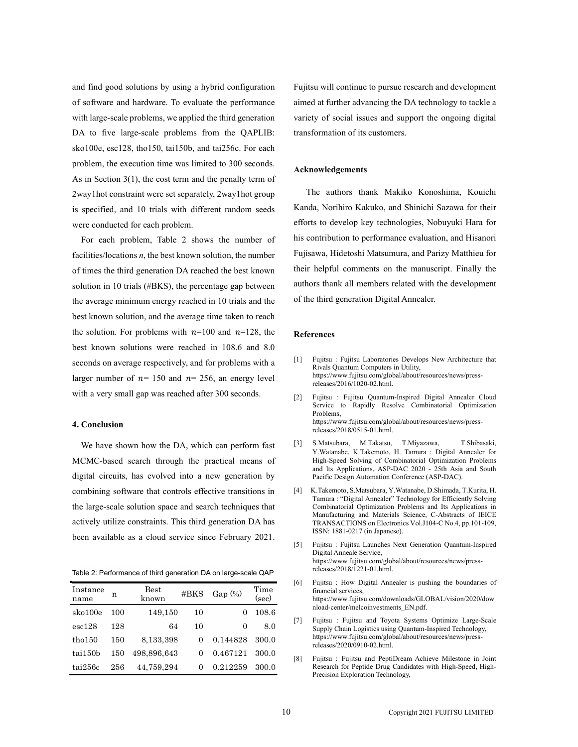and find good solutions by using a hybrid configuration of software and hardware. To evaluate the performance with large-scale problems, we applied the third generation DA to five large-scale problems from the QAPLIB: sko100e, esc128, tho150, tai150b, and tai256c. For each problem, the execution time was limited to 300 seconds. As in Section 3(1), the cost term and the penalty term of 2way1hot constraint were set separately, 2way1hot group is specified, and 10 trials with different random seeds were conducted for each problem.

For each problem, Table 2 shows the number of facilities/locations  $n$ , the best known solution, the number of times the third generation DA reached the best known solution in 10 trials (#BKS), the percentage gap between the average minimum energy reached in 10 trials and the best known solution, and the average time taken to reach the solution. For problems with  $n=100$  and  $n=128$ , the best known solutions were reached in 108.6 and 8.0 seconds on average respectively, and for problems with a [1] larger number of  $n=150$  and  $n=256$ , an energy level with a very small gap was reached after 300 seconds.

## 4. Conclusion

We have shown how the DA, which can perform fast [3] MCMC-based search through the practical means of digital circuits, has evolved into a new generation by combining software that controls effective transitions in the large-scale solution space and search techniques that actively utilize constraints. This third generation DA has been available as a cloud service since February 2021.

Table 2: Performance of third generation DA on large-scale QAP

| Instance<br>name  | n   | $_{\rm Best}$<br>known | $\#BKS$ | $Gap(\%)$ | Time<br>(sec)              | [6]                                                        | Fujitsu: How Digital Annealer is pushing the boundaries of<br>financial services.<br>https://www.fujitsu.com/downloads/GLOBAL/vision/2020/dow                  |
|-------------------|-----|------------------------|---------|-----------|----------------------------|------------------------------------------------------------|----------------------------------------------------------------------------------------------------------------------------------------------------------------|
| sko100e           | 100 | 149.150                | 10      |           | 108.6                      |                                                            | nload-center/melcoinvestments EN.pdf.<br>Fujitsu: Fujitsu and Toyota Systems Optimize Large-Scale<br>Supply Chain Logistics using Quantum-Inspired Technology, |
| $\text{esc}128$   | 128 | 64                     | 10      |           | 7 <br>8.0                  |                                                            |                                                                                                                                                                |
| tho150            | 150 | 8.133.398              |         | 0.144828  | 300.0                      |                                                            | https://www.fujitsu.com/global/about/resources/news/press-<br>releases/2020/0910-02.html.                                                                      |
| tai150b           | 150 | 498.896.643            |         | 0.467121  | 300.0<br>$\lceil 8 \rceil$ | Fujitsu: Fujitsu and PeptiDream Achieve Milestone in Joint |                                                                                                                                                                |
| $\text{tail}256c$ | 256 | 44.759.294             |         | 0.212259  | 300.0                      |                                                            | Research for Peptide Drug Candidates with High-Speed, High-<br>Davidina Frantzantina Trabantzare                                                               |

Fujitsu will continue to pursue research and development aimed at further advancing the DA technology to tackle a variety of social issues and support the ongoing digital transformation of its customers.

### Acknowledgements

The authors thank Makiko Konoshima, Kouichi Kanda, Norihiro Kakuko, and Shinichi Sazawa for their efforts to develop key technologies, Nobuyuki Hara for his contribution to performance evaluation, and Hisanori Fujisawa, Hidetoshi Matsumura, and Parizy Matthieu for their helpful comments on the manuscript. Finally the authors thank all members related with the development of the third generation Digital Annealer.

#### References

- Fujitsu : Fujitsu Laboratories Develops New Architecture that Rivals Quantum Computers in Utility, https://www.fujitsu.com/global/about/resources/news/pressreleases/2016/1020-02.html.
- Fujitsu : Fujitsu Quantum-Inspired Digital Annealer Cloud Service to Rapidly Resolve Combinatorial Optimization Problems, https://www.fujitsu.com/global/about/resources/news/pressreleases/2018/0515-01.html.
- [3] S.Matsubara, M.Takatsu, T.Miyazawa, T.Shibasaki, Y.Watanabe, K.Takemoto, H. Tamura: Digital Annealer for High-Speed Solving of Combinatorial Optimization Problems and Its Applications, ASP-DAC 2020 - 25th Asia and South Pacific Design Automation Conference (ASP-DAC).
- [4] K.Takemoto, S.Matsubara, Y.Watanabe, D.Shimada, T.Kurita, H. Tamura : "Digital Annealer" Technology for Efficiently Solving Combinatorial Optimization Problems and Its Applications in Manufacturing and Materials Science, C-Abstracts of IEICE TRANSACTIONS on Electronics Vol.J104-C No.4, pp.101-109, ISSN: 1881-0217 (in Japanese).
- Fujitsu : Fujitsu Launches Next Generation Quantum-Inspired Digital Anneale Service, https://www.fujitsu.com/global/about/resources/news/pressreleases/2018/1221-01.html.
- [6] Fujitsu : How Digital Annealer is pushing the boundaries of financial services, Best #BKS Gap (%) Time financial services,<br>
known  $\frac{1}{\text{theory}}$  https://www.fujitsu.com/downloads/GLOBAL/vision/2020/dow nload-center/melcoinvestments\_EN.pdf.
	- [7] Fujitsu : Fujitsu and Toyota Systems Optimize Large-Scale releases/2020/0910-02.html.
	- Precision Exploration Technology,